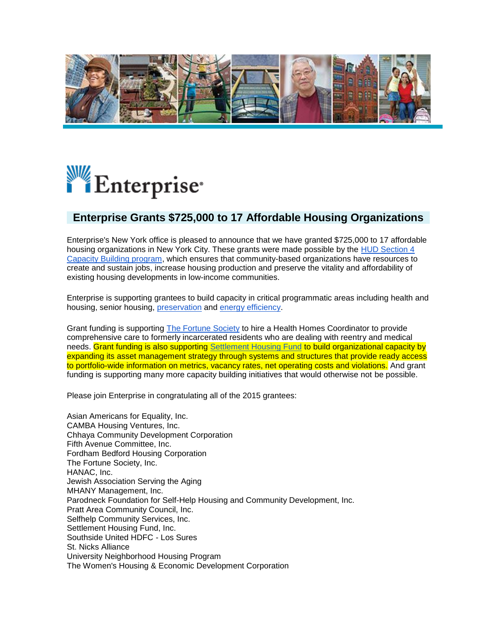

## Enterprise\*

## **Enterprise Grants \$725,000 to 17 Affordable Housing Organizations**

Enterprise's New York office is pleased to announce that we have granted \$725,000 to 17 affordable housing organizations in New York City. These grants were made possible by the HUD Section 4 [Capacity Building program,](http://salsa4.salsalabs.com/dia/track.jsp?v=2&c=6TuuBPmuhxr49%2B5RfcdIEwYFmuHjQohk) which ensures that community-based organizations have resources to create and sustain jobs, increase housing production and preserve the vitality and affordability of existing housing developments in low-income communities.

Enterprise is supporting grantees to build capacity in critical programmatic areas including health and housing, senior housing, [preservation](http://salsa4.salsalabs.com/dia/track.jsp?v=2&c=CGCLRFOejNuh2GlZ7IXVdwYFmuHjQohk) and [energy efficiency.](http://salsa4.salsalabs.com/dia/track.jsp?v=2&c=k1btMl2A4SM6mMH%2BilDOfwYFmuHjQohk)

Grant funding is supporting [The Fortune Society](http://salsa4.salsalabs.com/dia/track.jsp?v=2&c=SaiItXdUg5uJsN2mxZO2awYFmuHjQohk) to hire a Health Homes Coordinator to provide comprehensive care to formerly incarcerated residents who are dealing with reentry and medical needs. Grant funding is also supporting [Settlement Housing Fund](http://salsa4.salsalabs.com/dia/track.jsp?v=2&c=b%2FdLGjlnyOkmFqBqfbUO5QYFmuHjQohk) to build organizational capacity by expanding its asset management strategy through systems and structures that provide ready access to portfolio-wide information on metrics, vacancy rates, net operating costs and violations. And grant funding is supporting many more capacity building initiatives that would otherwise not be possible.

Please join Enterprise in congratulating all of the 2015 grantees:

Asian Americans for Equality, Inc. CAMBA Housing Ventures, Inc. Chhaya Community Development Corporation Fifth Avenue Committee, Inc. Fordham Bedford Housing Corporation The Fortune Society, Inc. HANAC, Inc. Jewish Association Serving the Aging MHANY Management, Inc. Parodneck Foundation for Self-Help Housing and Community Development, Inc. Pratt Area Community Council, Inc. Selfhelp Community Services, Inc. Settlement Housing Fund, Inc. Southside United HDFC - Los Sures St. Nicks Alliance University Neighborhood Housing Program The Women's Housing & Economic Development Corporation